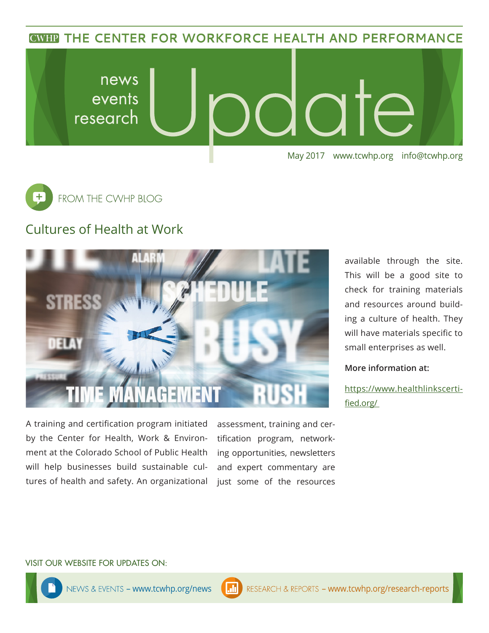**CWHP THE CENTER FOR WORKFORCE HEALTH AND PERFORMANCE** 





## Cultures of Health at Work



A training and certification program initiated by the Center for Health, Work & Environment at the Colorado School of Public Health will help businesses build sustainable cultures of health and safety. An organizational

assessment, training and certification program, networking opportunities, newsletters and expert commentary are just some of the resources

available through the site. This will be a good site to check for training materials and resources around building a culture of health. They will have materials specific to small enterprises as well.

**More information at:**

https://www.healthlinkscertified.org/

#### VISIT OUR WEBSITE FOR UPDATES ON: